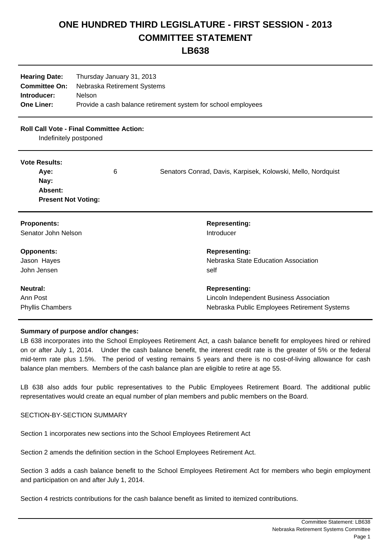# **ONE HUNDRED THIRD LEGISLATURE - FIRST SESSION - 2013 COMMITTEE STATEMENT**

# **LB638**

| <b>Hearing Date:</b> | Thursday January 31, 2013                                     |
|----------------------|---------------------------------------------------------------|
| <b>Committee On:</b> | Nebraska Retirement Systems                                   |
| Introducer:          | <b>Nelson</b>                                                 |
| <b>One Liner:</b>    | Provide a cash balance retirement system for school employees |

# **Roll Call Vote - Final Committee Action:**

Indefinitely postponed

#### **Vote Results:**

| Ave:                       | 6 | Senators Conrad, Davis, Karpisek, Kolowski, Mello, Nordquist |
|----------------------------|---|--------------------------------------------------------------|
| Nay:                       |   |                                                              |
| Absent:                    |   |                                                              |
| <b>Present Not Voting:</b> |   |                                                              |

| <b>Proponents:</b>      | <b>Representing:</b>                         |
|-------------------------|----------------------------------------------|
| Senator John Nelson     | Introducer                                   |
| <b>Opponents:</b>       | <b>Representing:</b>                         |
| Jason Hayes             | Nebraska State Education Association         |
| John Jensen             | self                                         |
| Neutral:                | <b>Representing:</b>                         |
| Ann Post                | Lincoln Independent Business Association     |
| <b>Phyllis Chambers</b> | Nebraska Public Employees Retirement Systems |

### **Summary of purpose and/or changes:**

LB 638 incorporates into the School Employees Retirement Act, a cash balance benefit for employees hired or rehired on or after July 1, 2014. Under the cash balance benefit, the interest credit rate is the greater of 5% or the federal mid-term rate plus 1.5%. The period of vesting remains 5 years and there is no cost-of-living allowance for cash balance plan members. Members of the cash balance plan are eligible to retire at age 55.

LB 638 also adds four public representatives to the Public Employees Retirement Board. The additional public representatives would create an equal number of plan members and public members on the Board.

## SECTION-BY-SECTION SUMMARY

Section 1 incorporates new sections into the School Employees Retirement Act

Section 2 amends the definition section in the School Employees Retirement Act.

Section 3 adds a cash balance benefit to the School Employees Retirement Act for members who begin employment and participation on and after July 1, 2014.

Section 4 restricts contributions for the cash balance benefit as limited to itemized contributions.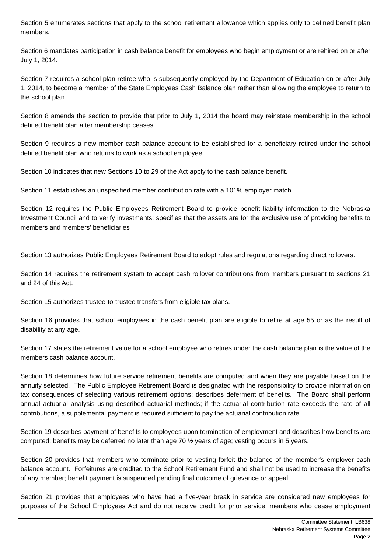Section 5 enumerates sections that apply to the school retirement allowance which applies only to defined benefit plan members.

Section 6 mandates participation in cash balance benefit for employees who begin employment or are rehired on or after July 1, 2014.

Section 7 requires a school plan retiree who is subsequently employed by the Department of Education on or after July 1, 2014, to become a member of the State Employees Cash Balance plan rather than allowing the employee to return to the school plan.

Section 8 amends the section to provide that prior to July 1, 2014 the board may reinstate membership in the school defined benefit plan after membership ceases.

Section 9 requires a new member cash balance account to be established for a beneficiary retired under the school defined benefit plan who returns to work as a school employee.

Section 10 indicates that new Sections 10 to 29 of the Act apply to the cash balance benefit.

Section 11 establishes an unspecified member contribution rate with a 101% employer match.

Section 12 requires the Public Employees Retirement Board to provide benefit liability information to the Nebraska Investment Council and to verify investments; specifies that the assets are for the exclusive use of providing benefits to members and members' beneficiaries

Section 13 authorizes Public Employees Retirement Board to adopt rules and regulations regarding direct rollovers.

Section 14 requires the retirement system to accept cash rollover contributions from members pursuant to sections 21 and 24 of this Act.

Section 15 authorizes trustee-to-trustee transfers from eligible tax plans.

Section 16 provides that school employees in the cash benefit plan are eligible to retire at age 55 or as the result of disability at any age.

Section 17 states the retirement value for a school employee who retires under the cash balance plan is the value of the members cash balance account.

Section 18 determines how future service retirement benefits are computed and when they are payable based on the annuity selected. The Public Employee Retirement Board is designated with the responsibility to provide information on tax consequences of selecting various retirement options; describes deferment of benefits. The Board shall perform annual actuarial analysis using described actuarial methods; if the actuarial contribution rate exceeds the rate of all contributions, a supplemental payment is required sufficient to pay the actuarial contribution rate.

Section 19 describes payment of benefits to employees upon termination of employment and describes how benefits are computed; benefits may be deferred no later than age 70 ½ years of age; vesting occurs in 5 years.

Section 20 provides that members who terminate prior to vesting forfeit the balance of the member's employer cash balance account. Forfeitures are credited to the School Retirement Fund and shall not be used to increase the benefits of any member; benefit payment is suspended pending final outcome of grievance or appeal.

Section 21 provides that employees who have had a five-year break in service are considered new employees for purposes of the School Employees Act and do not receive credit for prior service; members who cease employment